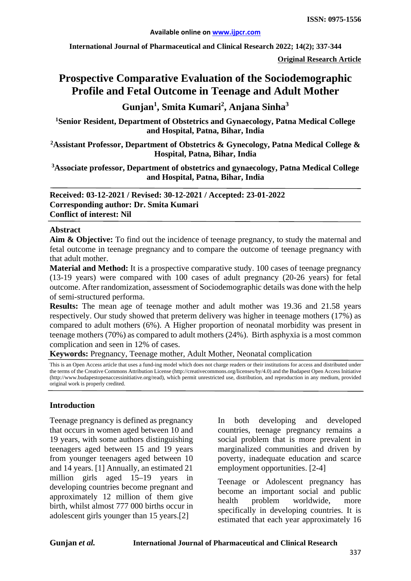**International Journal of Pharmaceutical and Clinical Research 2022; 14(2); 337-344**

**Original Research Article**

# **Prospective Comparative Evaluation of the Sociodemographic Profile and Fetal Outcome in Teenage and Adult Mother**

**Gunjan1 , Smita Kumari<sup>2</sup> , Anjana Sinha<sup>3</sup>**

**1 Senior Resident, Department of Obstetrics and Gynaecology, Patna Medical College and Hospital, Patna, Bihar, India**

**2 Assistant Professor, Department of Obstetrics & Gynecology, Patna Medical College & Hospital, Patna, Bihar, India**

**3 Associate professor, Department of obstetrics and gynaecology, Patna Medical College and Hospital, Patna, Bihar, India**

**Received: 03-12-2021 / Revised: 30-12-2021 / Accepted: 23-01-2022 Corresponding author: Dr. Smita Kumari Conflict of interest: Nil**

#### **Abstract**

**Aim & Objective:** To find out the incidence of teenage pregnancy, to study the maternal and fetal outcome in teenage pregnancy and to compare the outcome of teenage pregnancy with that adult mother.

**Material and Method:** It is a prospective comparative study. 100 cases of teenage pregnancy (13-19 years) were compared with 100 cases of adult pregnancy (20-26 years) for fetal outcome. After randomization, assessment of Sociodemographic details was done with the help of semi-structured performa.

**Results:** The mean age of teenage mother and adult mother was 19.36 and 21.58 years respectively. Our study showed that preterm delivery was higher in teenage mothers (17%) as compared to adult mothers (6%). A Higher proportion of neonatal morbidity was present in teenage mothers (70%) as compared to adult mothers (24%). Birth asphyxia is a most common complication and seen in 12% of cases.

**Keywords:** Pregnancy, Teenage mother, Adult Mother, Neonatal complication

This is an Open Access article that uses a fund-ing model which does not charge readers or their institutions for access and distributed under the terms of the Creative Commons Attribution License (http://creativecommons.org/licenses/by/4.0) and the Budapest Open Access Initiative (http://www.budapestopenaccessinitiative.org/read), which permit unrestricted use, distribution, and reproduction in any medium, provided original work is properly credited.

### **Introduction**

Teenage pregnancy is defined as pregnancy that occurs in women aged between 10 and 19 years, with some authors distinguishing teenagers aged between 15 and 19 years from younger teenagers aged between 10 and 14 years. [1] Annually, an estimated 21 million girls aged 15–19 years in developing countries become pregnant and approximately 12 million of them give birth, whilst almost 777 000 births occur in adolescent girls younger than 15 years.[2]

In both developing and developed countries, teenage pregnancy remains a social problem that is more prevalent in marginalized communities and driven by poverty, inadequate education and scarce employment opportunities. [2-4]

Teenage or Adolescent pregnancy has become an important social and public health problem worldwide, more specifically in developing countries. It is estimated that each year approximately 16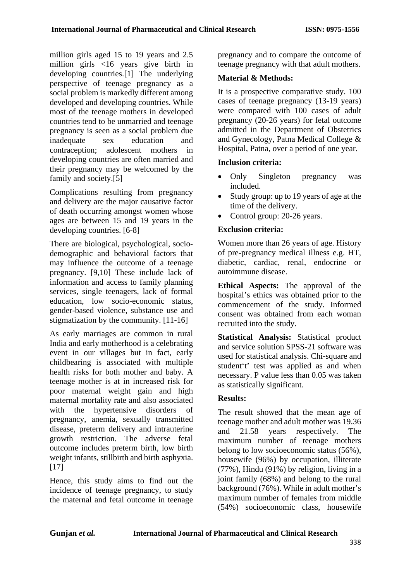million girls aged 15 to 19 years and 2.5 million girls <16 years give birth in developing countries.[1] The underlying perspective of teenage pregnancy as a social problem is markedly different among developed and developing countries. While most of the teenage mothers in developed countries tend to be unmarried and teenage pregnancy is seen as a social problem due inadequate sex education and contraception; adolescent mothers in developing countries are often married and their pregnancy may be welcomed by the family and society.[5]

Complications resulting from pregnancy and delivery are the major causative factor of death occurring amongst women whose ages are between 15 and 19 years in the developing countries. [6-8]

There are biological, psychological, sociodemographic and behavioral factors that may influence the outcome of a teenage pregnancy. [9,10] These include lack of information and access to family planning services, single teenagers, lack of formal education, low socio-economic status, gender-based violence, substance use and stigmatization by the community. [11-16]

As early marriages are common in rural India and early motherhood is a celebrating event in our villages but in fact, early childbearing is associated with multiple health risks for both mother and baby. A teenage mother is at in increased risk for poor maternal weight gain and high maternal mortality rate and also associated with the hypertensive disorders of pregnancy, anemia, sexually transmitted disease, preterm delivery and intrauterine growth restriction. The adverse fetal outcome includes preterm birth, low birth weight infants, stillbirth and birth asphyxia. [17]

Hence, this study aims to find out the incidence of teenage pregnancy, to study the maternal and fetal outcome in teenage

pregnancy and to compare the outcome of teenage pregnancy with that adult mothers.

## **Material & Methods:**

It is a prospective comparative study. 100 cases of teenage pregnancy (13-19 years) were compared with 100 cases of adult pregnancy (20-26 years) for fetal outcome admitted in the Department of Obstetrics and Gynecology, Patna Medical College & Hospital, Patna, over a period of one year.

## **Inclusion criteria:**

- Only Singleton pregnancy was included.
- Study group: up to 19 years of age at the time of the delivery.
- Control group: 20-26 years.

## **Exclusion criteria:**

Women more than 26 years of age. History of pre-pregnancy medical illness e.g. HT, diabetic, cardiac, renal, endocrine or autoimmune disease.

**Ethical Aspects:** The approval of the hospital's ethics was obtained prior to the commencement of the study. Informed consent was obtained from each woman recruited into the study.

**Statistical Analysis:** Statistical product and service solution SPSS-21 software was used for statistical analysis. Chi-square and student't' test was applied as and when necessary. P value less than 0.05 was taken as statistically significant.

## **Results:**

The result showed that the mean age of teenage mother and adult mother was 19.36 and 21.58 years respectively. The maximum number of teenage mothers belong to low socioeconomic status (56%), housewife (96%) by occupation, illiterate (77%), Hindu (91%) by religion, living in a joint family (68%) and belong to the rural background (76%). While in adult mother's maximum number of females from middle (54%) socioeconomic class, housewife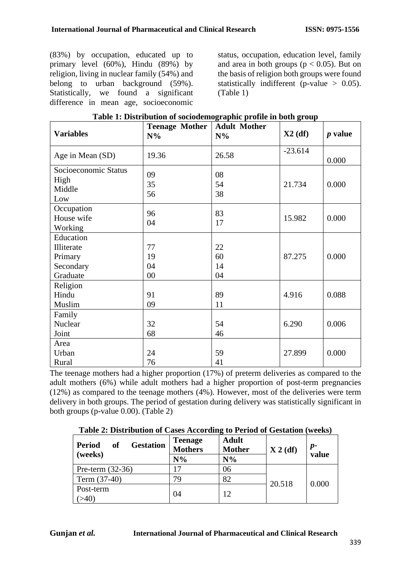(83%) by occupation, educated up to primary level (60%), Hindu (89%) by religion, living in nuclear family (54%) and belong to urban background (59%). Statistically, we found a significant difference in mean age, socioeconomic status, occupation, education level, family and area in both groups ( $p < 0.05$ ). But on the basis of religion both groups were found statistically indifferent (p-value  $> 0.05$ ). (Table 1)

| <b>Variables</b>                                            | <b>Teenage Mother</b><br>$N\%$ | <b>Adult Mother</b><br>$N\%$ | $X2$ (df) | <i>p</i> value |
|-------------------------------------------------------------|--------------------------------|------------------------------|-----------|----------------|
| Age in Mean (SD)                                            | 19.36                          | 26.58                        | $-23.614$ | 0.000          |
| Socioeconomic Status<br>High<br>Middle<br>Low               | 09<br>35<br>56                 | 08<br>54<br>38               | 21.734    | 0.000          |
| Occupation<br>House wife<br>Working                         | 96<br>04                       | 83<br>17                     | 15.982    | 0.000          |
| Education<br>Illiterate<br>Primary<br>Secondary<br>Graduate | 77<br>19<br>04<br>$00\,$       | 22<br>60<br>14<br>04         | 87.275    | 0.000          |
| Religion<br>Hindu<br>Muslim                                 | 91<br>09                       | 89<br>11                     | 4.916     | 0.088          |
| Family<br>Nuclear<br>Joint                                  | 32<br>68                       | 54<br>46                     | 6.290     | 0.006          |
| Area<br>Urban<br>Rural                                      | 24<br>76                       | 59<br>41                     | 27.899    | 0.000          |

The teenage mothers had a higher proportion (17%) of preterm deliveries as compared to the adult mothers (6%) while adult mothers had a higher proportion of post-term pregnancies (12%) as compared to the teenage mothers (4%). However, most of the deliveries were term delivery in both groups. The period of gestation during delivery was statistically significant in both groups (p-value 0.00). (Table 2)

**Table 2: Distribution of Cases According to Period of Gestation (weeks)**

| <b>Period</b><br><b>of</b><br><b>Gestation</b><br>(weeks) | Teenage<br><b>Mothers</b><br>$N\%$ | <b>Adult</b><br><b>Mother</b><br>$N\%$ | $X 2$ (df) | $p-$<br>value |
|-----------------------------------------------------------|------------------------------------|----------------------------------------|------------|---------------|
| Pre-term $(32-36)$                                        |                                    | 06                                     |            |               |
| Term $(37-40)$                                            | 79.                                | 82                                     | 20.518     | 0.000         |
| Post-term                                                 | 04                                 | 12                                     |            |               |
| >40                                                       |                                    |                                        |            |               |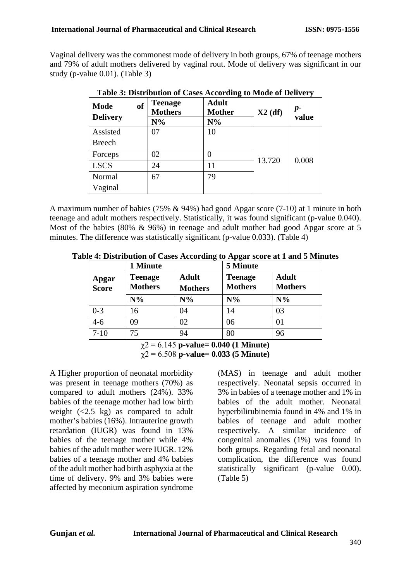Vaginal delivery was the commonest mode of delivery in both groups, 67% of teenage mothers and 79% of adult mothers delivered by vaginal rout. Mode of delivery was significant in our study (p-value 0.01). (Table 3)

| <sub>of</sub><br><b>Mode</b><br><b>Delivery</b> | <b>Teenage</b><br><b>Mothers</b><br>$N\%$ | <b>Adult</b><br><b>Mother</b><br>$N\%$ | $X2$ (df) | $p-$<br>value |
|-------------------------------------------------|-------------------------------------------|----------------------------------------|-----------|---------------|
| Assisted                                        | 07                                        | 10                                     |           |               |
| <b>Breech</b>                                   |                                           |                                        |           |               |
| Forceps                                         | 02                                        | $\theta$                               |           |               |
| <b>LSCS</b>                                     | 24                                        | 11                                     | 13.720    | 0.008         |
| Normal                                          | 67                                        | 79                                     |           |               |
| Vaginal                                         |                                           |                                        |           |               |

**Table 3: Distribution of Cases According to Mode of Delivery**

A maximum number of babies (75% & 94%) had good Apgar score (7-10) at 1 minute in both teenage and adult mothers respectively. Statistically, it was found significant (p-value 0.040). Most of the babies (80% & 96%) in teenage and adult mother had good Apgar score at 5 minutes. The difference was statistically significant (p-value 0.033). (Table 4)

**Table 4: Distribution of Cases According to Apgar score at 1 and 5 Minutes**

|                       | 1 Minute                         |                                | 5 Minute                         |                                |  |
|-----------------------|----------------------------------|--------------------------------|----------------------------------|--------------------------------|--|
| Apgar<br><b>Score</b> | <b>Teenage</b><br><b>Mothers</b> | <b>Adult</b><br><b>Mothers</b> | <b>Teenage</b><br><b>Mothers</b> | <b>Adult</b><br><b>Mothers</b> |  |
|                       | $N\%$                            | $N\%$                          | $N\%$                            | $N\%$                          |  |
| $0 - 3$               | l6                               | 04                             | 14                               | 03                             |  |
| $4 - 6$               | 09                               | 02                             | 06                               |                                |  |
| $7 - 10$              | 75                               | 94                             | 80                               | 96                             |  |

χ2 = 6.145 **p-value= 0.040 (1 Minute)** χ2 = 6.508 **p-value= 0.033 (5 Minute)**

A Higher proportion of neonatal morbidity was present in teenage mothers (70%) as compared to adult mothers (24%). 33% babies of the teenage mother had low birth weight  $(\leq 2.5 \text{ kg})$  as compared to adult mother's babies (16%). Intrauterine growth retardation (IUGR) was found in 13% babies of the teenage mother while 4% babies of the adult mother were IUGR. 12% babies of a teenage mother and 4% babies of the adult mother had birth asphyxia at the time of delivery. 9% and 3% babies were affected by meconium aspiration syndrome

(MAS) in teenage and adult mother respectively. Neonatal sepsis occurred in 3% in babies of a teenage mother and 1% in babies of the adult mother. Neonatal hyperbilirubinemia found in 4% and 1% in babies of teenage and adult mother respectively. A similar incidence of congenital anomalies (1%) was found in both groups. Regarding fetal and neonatal complication, the difference was found statistically significant (p-value 0.00). (Table 5)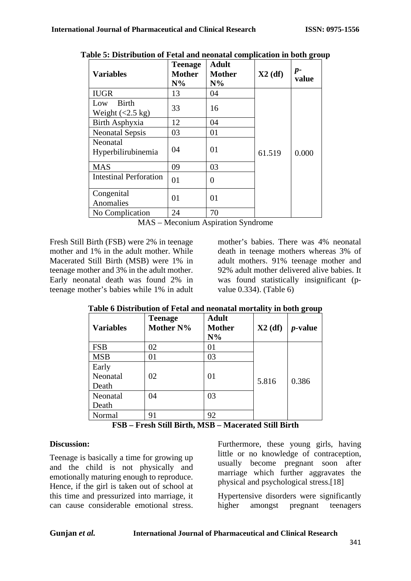| <b>Variables</b>                                  | <b>Teenage</b><br><b>Mother</b><br>$N\%$ | <b>Adult</b><br><b>Mother</b><br>$N\%$ | $X2$ (df) | $p-$<br>value |
|---------------------------------------------------|------------------------------------------|----------------------------------------|-----------|---------------|
| <b>IUGR</b>                                       | 13                                       | 04                                     |           |               |
| <b>Birth</b><br>Low<br>Weight $(<2.5 \text{ kg})$ | 33                                       | 16                                     |           |               |
| Birth Asphyxia                                    | 12                                       | 04                                     |           |               |
| <b>Neonatal Sepsis</b>                            | 03                                       | 01                                     |           |               |
| Neonatal<br>Hyperbilirubinemia                    | 04                                       | 01                                     | 61.519    | 0.000         |
| <b>MAS</b>                                        | 09                                       | 03                                     |           |               |
| <b>Intestinal Perforation</b>                     | 01                                       | 0                                      |           |               |
| Congenital<br>Anomalies                           | 01                                       | 01                                     |           |               |
| No Complication                                   | 24                                       | 70                                     |           |               |

**Table 5: Distribution of Fetal and neonatal complication in both group**

MAS – Meconium Aspiration Syndrome

Fresh Still Birth (FSB) were 2% in teenage mother and 1% in the adult mother. While Macerated Still Birth (MSB) were 1% in teenage mother and 3% in the adult mother. Early neonatal death was found 2% in teenage mother's babies while 1% in adult mother's babies. There was 4% neonatal death in teenage mothers whereas 3% of adult mothers. 91% teenage mother and 92% adult mother delivered alive babies. It was found statistically insignificant (pvalue 0.334). (Table 6)

| <b>Variables</b>           | <b>Teenage</b><br>Mother N% | <b>Adult</b><br><b>Mother</b><br>$N\%$ | $X2$ (df) | $\bullet$ $\cdot$ $\cdot$ $\cdot$<br><i>p</i> -value |
|----------------------------|-----------------------------|----------------------------------------|-----------|------------------------------------------------------|
| <b>FSB</b>                 | 02                          | 01                                     |           |                                                      |
| <b>MSB</b>                 | 01                          | 03                                     |           |                                                      |
| Early<br>Neonatal<br>Death | 02                          | 01                                     | 5.816     | 0.386                                                |
| Neonatal                   | 04                          | 03                                     |           |                                                      |
| Death                      |                             |                                        |           |                                                      |
| Normal                     | 91                          | 92                                     |           |                                                      |

### **Table 6 Distribution of Fetal and neonatal mortality in both group**

**FSB – Fresh Still Birth, MSB – Macerated Still Birth**

## **Discussion:**

Teenage is basically a time for growing up and the child is not physically and emotionally maturing enough to reproduce. Hence, if the girl is taken out of school at this time and pressurized into marriage, it can cause considerable emotional stress.

Furthermore, these young girls, having little or no knowledge of contraception, usually become pregnant soon after marriage which further aggravates the physical and psychological stress.[18]

Hypertensive disorders were significantly higher amongst pregnant teenagers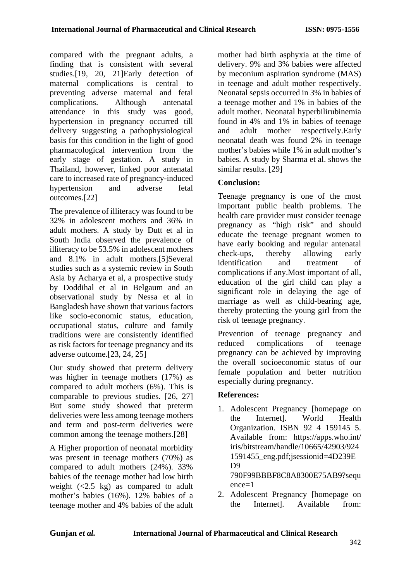compared with the pregnant adults, a finding that is consistent with several studies.[19, 20, 21]Early detection of maternal complications is central to preventing adverse maternal and fetal complications. Although antenatal attendance in this study was good, hypertension in pregnancy occurred till delivery suggesting a pathophysiological basis for this condition in the light of good pharmacological intervention from the early stage of gestation. A study in Thailand, however, linked poor antenatal care to increased rate of pregnancy-induced hypertension and adverse fetal outcomes.[22]

The prevalence of illiteracy was found to be 32% in adolescent mothers and 36% in adult mothers. A study by Dutt et al in South India observed the prevalence of illiteracy to be 53.5% in adolescent mothers and 8.1% in adult mothers.[5]Several studies such as a systemic review in South Asia by Acharya et al, a prospective study by Doddihal et al in Belgaum and an observational study by Nessa et al in Bangladesh have shown that various factors like socio-economic status, education, occupational status, culture and family traditions were are consistently identified as risk factors for teenage pregnancy and its adverse outcome.[23, 24, 25]

Our study showed that preterm delivery was higher in teenage mothers (17%) as compared to adult mothers (6%). This is comparable to previous studies. [26, 27] But some study showed that preterm deliveries were less among teenage mothers and term and post-term deliveries were common among the teenage mothers.[28]

A Higher proportion of neonatal morbidity was present in teenage mothers (70%) as compared to adult mothers (24%). 33% babies of the teenage mother had low birth weight  $(<2.5 \text{ kg})$  as compared to adult mother's babies (16%). 12% babies of a teenage mother and 4% babies of the adult mother had birth asphyxia at the time of delivery. 9% and 3% babies were affected by meconium aspiration syndrome (MAS) in teenage and adult mother respectively. Neonatal sepsis occurred in 3% in babies of a teenage mother and 1% in babies of the adult mother. Neonatal hyperbilirubinemia found in 4% and 1% in babies of teenage and adult mother respectively.Early neonatal death was found 2% in teenage mother's babies while 1% in adult mother's babies. A study by Sharma et al. shows the similar results. [29]

## **Conclusion:**

Teenage pregnancy is one of the most important public health problems. The health care provider must consider teenage pregnancy as "high risk" and should educate the teenage pregnant women to have early booking and regular antenatal check-ups, thereby allowing early identification and treatment of complications if any.Most important of all, education of the girl child can play a significant role in delaying the age of marriage as well as child-bearing age, thereby protecting the young girl from the risk of teenage pregnancy.

Prevention of teenage pregnancy and reduced complications of teenage pregnancy can be achieved by improving the overall socioeconomic status of our female population and better nutrition especially during pregnancy.

### **References:**

- 1. Adolescent Pregnancy [homepage on the Internet]. World Health Organization. ISBN 92 4 159145 5. Available from: https://apps.who.int/ iris/bitstream/handle/10665/42903/924 1591455\_eng.pdf;jsessionid=4D239E D9 790F99BBBF8C8A8300E75AB9?sequ ence=1
- 2. Adolescent Pregnancy [homepage on the Internet]. Available from: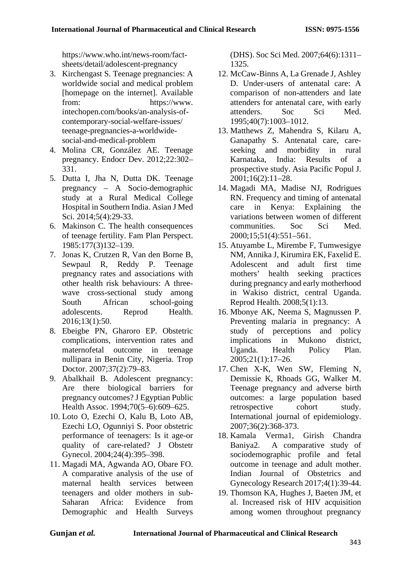https://www.who.int/news-room/factsheets/detail/adolescent-pregnancy

- 3. Kirchengast S. Teenage pregnancies: A worldwide social and medical problem [homepage on the internet]. Available from: https://www. intechopen.com/books/an-analysis-ofcontemporary-social-welfare-issues/ teenage-pregnancies-a-worldwidesocial-and-medical-problem
- 4. Molina CR, González AE. Teenage pregnancy. Endocr Dev. 2012;22:302– 331.
- 5. Dutta I, Jha N, Dutta DK. Teenage pregnancy – A Socio-demographic study at a Rural Medical College Hospital in Southern India. Asian J Med Sci. 2014:5(4):29-33.
- 6. Makinson C. The health consequences of teenage fertility. Fam Plan Perspect. 1985:177(3)132–139.
- 7. Jonas K, Crutzen R, Van den Borne B, Sewpaul R, Reddy P. Teenage pregnancy rates and associations with other health risk behaviours: A threewave cross-sectional study among South African school-going adolescents. Reprod Health. 2016;13(1):50.
- 8. Ebeigbe PN, Gharoro EP. Obstetric complications, intervention rates and maternofetal outcome in teenage nullipara in Benin City, Nigeria. Trop Doctor. 2007;37(2):79–83.
- 9. Abalkhail B. Adolescent pregnancy: Are there biological barriers for pregnancy outcomes? J Egyptian Public Health Assoc. 1994;70(5–6):609–625.
- 10. Loto O, Ezechi O, Kalu B, Loto AB, Ezechi LO, Ogunniyi S. Poor obstetric performance of teenagers: Is it age-or quality of care-related? J Obstetr Gynecol. 2004;24(4):395–398.
- 11. Magadi MA, Agwanda AO, Obare FO. A comparative analysis of the use of maternal health services between teenagers and older mothers in sub-Saharan Africa: Evidence from Demographic and Health Surveys

(DHS). Soc Sci Med. 2007;64(6):1311– 1325.

- 12. McCaw-Binns A, La Grenade J, Ashley D. Under-users of antenatal care: A comparison of non-attenders and late attenders for antenatal care, with early attenders. Soc Sci Med. 1995;40(7):1003–1012.
- 13. Matthews Z, Mahendra S, Kilaru A, Ganapathy S. Antenatal care, careseeking and morbidity in rural Karnataka, India: Results of a prospective study. Asia Pacific Popul J. 2001;16(2):11–28.
- 14. Magadi MA, Madise NJ, Rodrigues RN. Frequency and timing of antenatal care in Kenya: Explaining the variations between women of different communities. Soc Sci Med. 2000;15;51(4):551–561.
- 15. Atuyambe L, Mirembe F, Tumwesigye NM, Annika J, Kirumira EK, Faxelid E. adult first time mothers' health seeking practices during pregnancy and early motherhood in Wakiso district, central Uganda. Reprod Health. 2008;5(1):13.
- 16. Mbonye AK, Neema S, Magnussen P. Preventing malaria in pregnancy: A study of perceptions and policy implications in Mukono district, Uganda. Health Policy Plan. 2005;21(1):17–26.
- 17. Chen X-K, Wen SW, Fleming N, Demissie K, Rhoads GG, Walker M. Teenage pregnancy and adverse birth outcomes: a large population based retrospective cohort study. International journal of epidemiology. 2007;36(2):368-373.
- 18. Kamala Verma1, Girish Chandra Baniya2. A comparative study of sociodemographic profile and fetal outcome in teenage and adult mother. Indian Journal of Obstetrics and Gynecology Research 2017;4(1):39-44.
- 19. Thomson KA, Hughes J, Baeten JM, et al. Increased risk of HIV acquisition among women throughout pregnancy